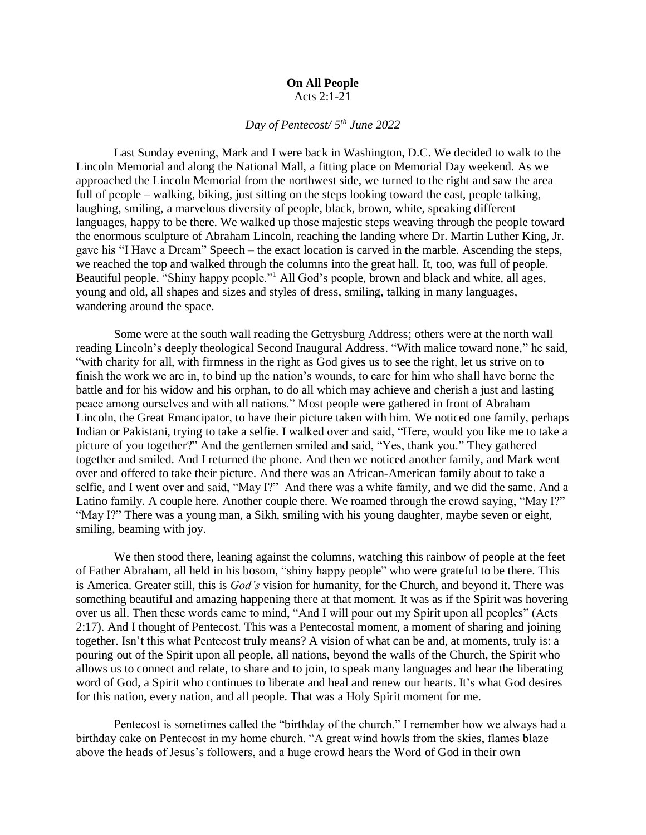## **On All People** Acts 2:1-21

## *Day of Pentecost/ 5th June 2022*

Last Sunday evening, Mark and I were back in Washington, D.C. We decided to walk to the Lincoln Memorial and along the National Mall, a fitting place on Memorial Day weekend. As we approached the Lincoln Memorial from the northwest side, we turned to the right and saw the area full of people – walking, biking, just sitting on the steps looking toward the east, people talking, laughing, smiling, a marvelous diversity of people, black, brown, white, speaking different languages, happy to be there. We walked up those majestic steps weaving through the people toward the enormous sculpture of Abraham Lincoln, reaching the landing where Dr. Martin Luther King, Jr. gave his "I Have a Dream" Speech – the exact location is carved in the marble. Ascending the steps, we reached the top and walked through the columns into the great hall. It, too, was full of people. Beautiful people. "Shiny happy people."<sup>1</sup> All God's people, brown and black and white, all ages, young and old, all shapes and sizes and styles of dress, smiling, talking in many languages, wandering around the space.

Some were at the south wall reading the Gettysburg Address; others were at the north wall reading Lincoln's deeply theological Second Inaugural Address. "With malice toward none," he said, "with charity for all, with firmness in the right as God gives us to see the right, let us strive on to finish the work we are in, to bind up the nation's wounds, to care for him who shall have borne the battle and for his widow and his orphan, to do all which may achieve and cherish a just and lasting peace among ourselves and with all nations." Most people were gathered in front of Abraham Lincoln, the Great Emancipator, to have their picture taken with him. We noticed one family, perhaps Indian or Pakistani, trying to take a selfie. I walked over and said, "Here, would you like me to take a picture of you together?" And the gentlemen smiled and said, "Yes, thank you." They gathered together and smiled. And I returned the phone. And then we noticed another family, and Mark went over and offered to take their picture. And there was an African-American family about to take a selfie, and I went over and said, "May I?" And there was a white family, and we did the same. And a Latino family. A couple here. Another couple there. We roamed through the crowd saying, "May I?" "May I?" There was a young man, a Sikh, smiling with his young daughter, maybe seven or eight, smiling, beaming with joy.

We then stood there, leaning against the columns, watching this rainbow of people at the feet of Father Abraham, all held in his bosom, "shiny happy people" who were grateful to be there. This is America. Greater still, this is *God's* vision for humanity, for the Church, and beyond it. There was something beautiful and amazing happening there at that moment. It was as if the Spirit was hovering over us all. Then these words came to mind, "And I will pour out my Spirit upon all peoples" (Acts 2:17). And I thought of Pentecost. This was a Pentecostal moment, a moment of sharing and joining together. Isn't this what Pentecost truly means? A vision of what can be and, at moments, truly is: a pouring out of the Spirit upon all people, all nations, beyond the walls of the Church, the Spirit who allows us to connect and relate, to share and to join, to speak many languages and hear the liberating word of God, a Spirit who continues to liberate and heal and renew our hearts. It's what God desires for this nation, every nation, and all people. That was a Holy Spirit moment for me.

Pentecost is sometimes called the "birthday of the church." I remember how we always had a birthday cake on Pentecost in my home church. "A great wind howls from the skies, flames blaze above the heads of Jesus's followers, and a huge crowd hears the Word of God in their own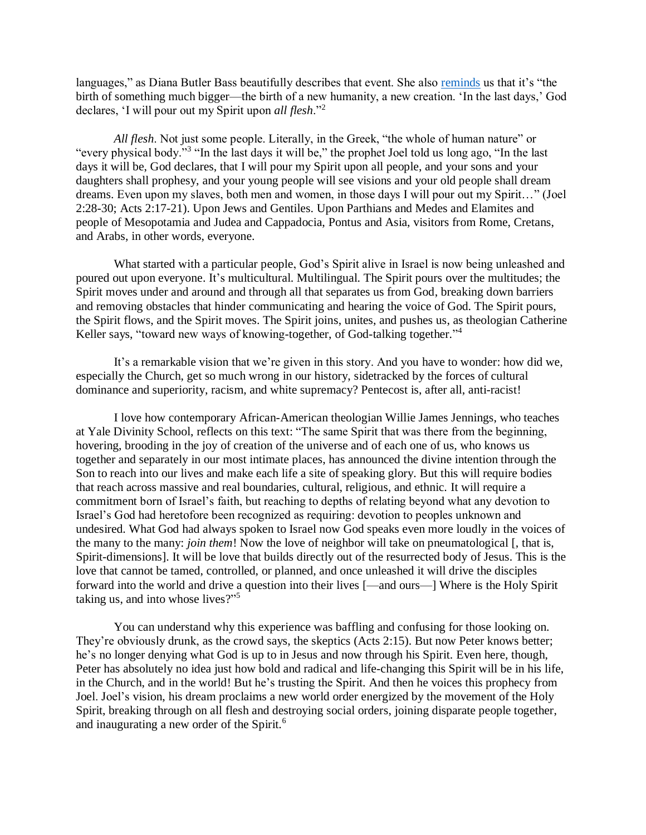languages," as Diana Butler Bass beautifully describes that event. She also [reminds](https://dianabutlerbass.substack.com/p/sunday-musings-e21?r=45vbf&s=w&utm_campaign=post&utm_medium=web) us that it's "the birth of something much bigger—the birth of a new humanity, a new creation. 'In the last days,' God declares, 'I will pour out my Spirit upon *all flesh*."<sup>2</sup>

*All flesh*. Not just some people. Literally, in the Greek, "the whole of human nature" or "every physical body."<sup>3</sup> "In the last days it will be," the prophet Joel told us long ago, "In the last days it will be, God declares, that I will pour my Spirit upon all people, and your sons and your daughters shall prophesy, and your young people will see visions and your old people shall dream dreams. Even upon my slaves, both men and women, in those days I will pour out my Spirit…" (Joel 2:28-30; Acts 2:17-21). Upon Jews and Gentiles. Upon Parthians and Medes and Elamites and people of Mesopotamia and Judea and Cappadocia, Pontus and Asia, visitors from Rome, Cretans, and Arabs, in other words, everyone.

What started with a particular people, God's Spirit alive in Israel is now being unleashed and poured out upon everyone. It's multicultural. Multilingual. The Spirit pours over the multitudes; the Spirit moves under and around and through all that separates us from God, breaking down barriers and removing obstacles that hinder communicating and hearing the voice of God. The Spirit pours, the Spirit flows, and the Spirit moves. The Spirit joins, unites, and pushes us, as theologian Catherine Keller says, "toward new ways of knowing-together, of God-talking together."<sup>4</sup>

It's a remarkable vision that we're given in this story. And you have to wonder: how did we, especially the Church, get so much wrong in our history, sidetracked by the forces of cultural dominance and superiority, racism, and white supremacy? Pentecost is, after all, anti-racist!

I love how contemporary African-American theologian Willie James Jennings, who teaches at Yale Divinity School, reflects on this text: "The same Spirit that was there from the beginning, hovering, brooding in the joy of creation of the universe and of each one of us, who knows us together and separately in our most intimate places, has announced the divine intention through the Son to reach into our lives and make each life a site of speaking glory. But this will require bodies that reach across massive and real boundaries, cultural, religious, and ethnic. It will require a commitment born of Israel's faith, but reaching to depths of relating beyond what any devotion to Israel's God had heretofore been recognized as requiring: devotion to peoples unknown and undesired. What God had always spoken to Israel now God speaks even more loudly in the voices of the many to the many: *join them*! Now the love of neighbor will take on pneumatological [, that is, Spirit-dimensions]. It will be love that builds directly out of the resurrected body of Jesus. This is the love that cannot be tamed, controlled, or planned, and once unleashed it will drive the disciples forward into the world and drive a question into their lives [—and ours—] Where is the Holy Spirit taking us, and into whose lives?"<sup>5</sup>

You can understand why this experience was baffling and confusing for those looking on. They're obviously drunk, as the crowd says, the skeptics (Acts 2:15). But now Peter knows better; he's no longer denying what God is up to in Jesus and now through his Spirit. Even here, though, Peter has absolutely no idea just how bold and radical and life-changing this Spirit will be in his life, in the Church, and in the world! But he's trusting the Spirit. And then he voices this prophecy from Joel. Joel's vision, his dream proclaims a new world order energized by the movement of the Holy Spirit, breaking through on all flesh and destroying social orders, joining disparate people together, and inaugurating a new order of the Spirit.<sup>6</sup>